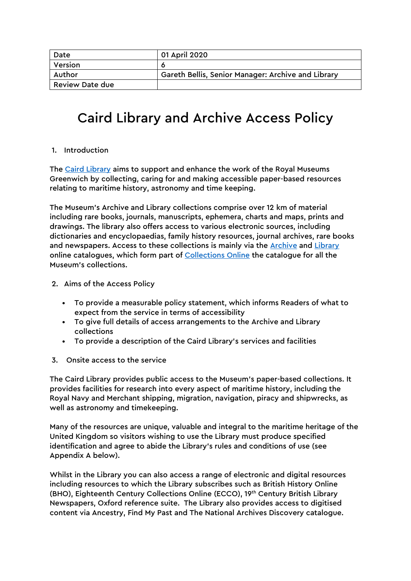| Date                   | 01 April 2020                                      |
|------------------------|----------------------------------------------------|
| Version                |                                                    |
| Author                 | Gareth Bellis, Senior Manager: Archive and Library |
| <b>Review Date due</b> |                                                    |

### Caird Library and Archive Access Policy

#### 1. Introduction

The Caird Library aims to support and enhance the work of the Royal Museums Greenwich by collecting, caring for and making accessible paper-based resources relating to maritime history, astronomy and time keeping.

The Museum's Archive and Library collections comprise over 12 km of material including rare books, journals, manuscripts, ephemera, charts and maps, prints and drawings. The library also offers access to various electronic sources, including dictionaries and encyclopaedias, family history resources, journal archives, rare books and newspapers. Access to these collections is mainly via the Archive and Library online catalogues, which form part of Collections Online the catalogue for all the Museum's collections.

- 2. Aims of the Access Policy
	- To provide a measurable policy statement, which informs Readers of what to expect from the service in terms of accessibility
	- To give full details of access arrangements to the Archive and Library collections
	- To provide a description of the Caird Library's services and facilities
- 3. Onsite access to the service

The Caird Library provides public access to the Museum's paper-based collections. It provides facilities for research into every aspect of maritime history, including the Royal Navy and Merchant shipping, migration, navigation, piracy and shipwrecks, as well as astronomy and timekeeping.

Many of the resources are unique, valuable and integral to the maritime heritage of the United Kingdom so visitors wishing to use the Library must produce specified identification and agree to abide the Library's rules and conditions of use (see Appendix A below).

Whilst in the Library you can also access a range of electronic and digital resources including resources to which the Library subscribes such as British History Online (BHO), Eighteenth Century Collections Online (ECCO), 19th Century British Library Newspapers, Oxford reference suite. The Library also provides access to digitised content via Ancestry, Find My Past and The National Archives Discovery catalogue.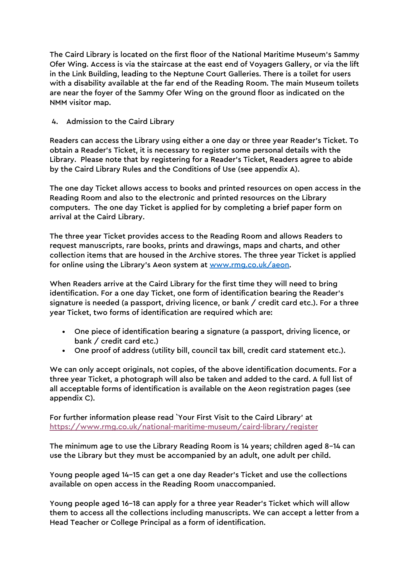The Caird Library is located on the first floor of the National Maritime Museum's Sammy Ofer Wing. Access is via the staircase at the east end of Voyagers Gallery, or via the lift in the Link Building, leading to the Neptune Court Galleries. There is a toilet for users with a disability available at the far end of the Reading Room. The main Museum toilets are near the foyer of the Sammy Ofer Wing on the ground floor as indicated on the NMM visitor map.

#### 4. Admission to the Caird Library

Readers can access the Library using either a one day or three year Reader's Ticket. To obtain a Reader's Ticket, it is necessary to register some personal details with the Library. Please note that by registering for a Reader's Ticket, Readers agree to abide by the Caird Library Rules and the Conditions of Use (see appendix A).

The one day Ticket allows access to books and printed resources on open access in the Reading Room and also to the electronic and printed resources on the Library computers. The one day Ticket is applied for by completing a brief paper form on arrival at the Caird Library.

The three year Ticket provides access to the Reading Room and allows Readers to request manuscripts, rare books, prints and drawings, maps and charts, and other collection items that are housed in the Archive stores. The three year Ticket is applied for online using the Library's Aeon system at www.rmg.co.uk/aeon.

When Readers arrive at the Caird Library for the first time they will need to bring identification. For a one day Ticket, one form of identification bearing the Reader's signature is needed (a passport, driving licence, or bank / credit card etc.). For a three year Ticket, two forms of identification are required which are:

- One piece of identification bearing a signature (a passport, driving licence, or bank / credit card etc.)
- One proof of address (utility bill, council tax bill, credit card statement etc.).

We can only accept originals, not copies, of the above identification documents. For a three year Ticket, a photograph will also be taken and added to the card. A full list of all acceptable forms of identification is available on the Aeon registration pages (see appendix C).

For further information please read `Your First Visit to the Caird Library' at https://www.rmg.co.uk/national-maritime-museum/caird-library/register

The minimum age to use the Library Reading Room is 14 years; children aged 8–14 can use the Library but they must be accompanied by an adult, one adult per child.

Young people aged 14–15 can get a one day Reader's Ticket and use the collections available on open access in the Reading Room unaccompanied.

Young people aged 16–18 can apply for a three year Reader's Ticket which will allow them to access all the collections including manuscripts. We can accept a letter from a Head Teacher or College Principal as a form of identification.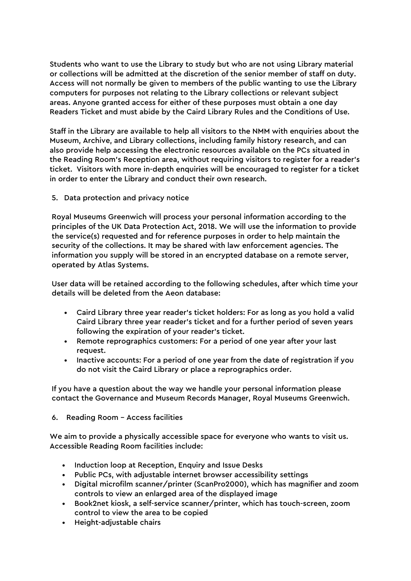Students who want to use the Library to study but who are not using Library material or collections will be admitted at the discretion of the senior member of staff on duty. Access will not normally be given to members of the public wanting to use the Library computers for purposes not relating to the Library collections or relevant subject areas. Anyone granted access for either of these purposes must obtain a one day Readers Ticket and must abide by the Caird Library Rules and the Conditions of Use.

Staff in the Library are available to help all visitors to the NMM with enquiries about the Museum, Archive, and Library collections, including family history research, and can also provide help accessing the electronic resources available on the PCs situated in the Reading Room's Reception area, without requiring visitors to register for a reader's ticket. Visitors with more in-depth enquiries will be encouraged to register for a ticket in order to enter the Library and conduct their own research.

5. Data protection and privacy notice

Royal Museums Greenwich will process your personal information according to the principles of the UK Data Protection Act, 2018. We will use the information to provide the service(s) requested and for reference purposes in order to help maintain the security of the collections. It may be shared with law enforcement agencies. The information you supply will be stored in an encrypted database on a remote server, operated by Atlas Systems.

User data will be retained according to the following schedules, after which time your details will be deleted from the Aeon database:

- Caird Library three year reader's ticket holders: For as long as you hold a valid Caird Library three year reader's ticket and for a further period of seven years following the expiration of your reader's ticket.
- Remote reprographics customers: For a period of one year after your last request.
- Inactive accounts: For a period of one year from the date of registration if you do not visit the Caird Library or place a reprographics order.

If you have a question about the way we handle your personal information please contact the Governance and Museum Records Manager, Royal Museums Greenwich.

6. Reading Room – Access facilities

We aim to provide a physically accessible space for everyone who wants to visit us. Accessible Reading Room facilities include:

- Induction loop at Reception, Enquiry and Issue Desks
- Public PCs, with adjustable internet browser accessibility settings
- Digital microfilm scanner/printer (ScanPro2000), which has magnifier and zoom controls to view an enlarged area of the displayed image
- Book2net kiosk, a self-service scanner/printer, which has touch-screen, zoom control to view the area to be copied
- Height-adjustable chairs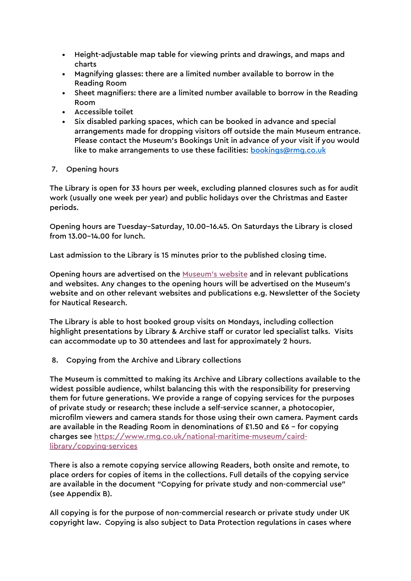- Height-adjustable map table for viewing prints and drawings, and maps and charts
- Magnifying glasses: there are a limited number available to borrow in the Reading Room
- Sheet magnifiers: there are a limited number available to borrow in the Reading Room
- Accessible toilet
- Six disabled parking spaces, which can be booked in advance and special arrangements made for dropping visitors off outside the main Museum entrance. Please contact the Museum's Bookings Unit in advance of your visit if you would like to make arrangements to use these facilities: **bookings@rmg.co.uk**

#### 7. Opening hours

The Library is open for 33 hours per week, excluding planned closures such as for audit work (usually one week per year) and public holidays over the Christmas and Easter periods.

Opening hours are Tuesday–Saturday, 10.00–16.45. On Saturdays the Library is closed from 13.00–14.00 for lunch.

Last admission to the Library is 15 minutes prior to the published closing time.

Opening hours are advertised on the Museum's website and in relevant publications and websites. Any changes to the opening hours will be advertised on the Museum's website and on other relevant websites and publications e.g. Newsletter of the Society for Nautical Research.

The Library is able to host booked group visits on Mondays, including collection highlight presentations by Library & Archive staff or curator led specialist talks. Visits can accommodate up to 30 attendees and last for approximately 2 hours.

8. Copying from the Archive and Library collections

The Museum is committed to making its Archive and Library collections available to the widest possible audience, whilst balancing this with the responsibility for preserving them for future generations. We provide a range of copying services for the purposes of private study or research; these include a self-service scanner, a photocopier, microfilm viewers and camera stands for those using their own camera. Payment cards are available in the Reading Room in denominations of £1.50 and £6 – for copying charges see https://www.rmg.co.uk/national-maritime-museum/cairdlibrary/copying-services

There is also a remote copying service allowing Readers, both onsite and remote, to place orders for copies of items in the collections. Full details of the copying service are available in the document "Copying for private study and non-commercial use" (see Appendix B).

All copying is for the purpose of non-commercial research or private study under UK copyright law. Copying is also subject to Data Protection regulations in cases where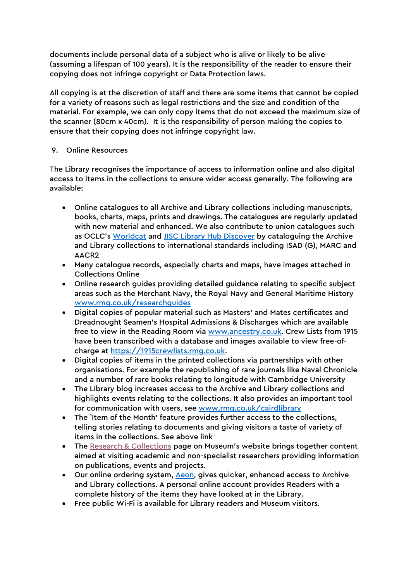documents include personal data of a subject who is alive or likely to be alive (assuming a lifespan of 100 years). It is the responsibility of the reader to ensure their copying does not infringe copyright or Data Protection laws.

All copying is at the discretion of staff and there are some items that cannot be copied for a variety of reasons such as legal restrictions and the size and condition of the material. For example, we can only copy items that do not exceed the maximum size of the scanner (80cm x 40cm). It is the responsibility of person making the copies to ensure that their copying does not infringe copyright law.

#### 9. Online Resources

The Library recognises the importance of access to information online and also digital access to items in the collections to ensure wider access generally. The following are available:

- Online catalogues to all Archive and Library collections including manuscripts, books, charts, maps, prints and drawings. The catalogues are regularly updated with new material and enhanced. We also contribute to union catalogues such as OCLC's Worldcat and JISC Library Hub Discover by cataloguing the Archive and Library collections to international standards including ISAD (G), MARC and AACR2
- Many catalogue records, especially charts and maps, have images attached in Collections Online
- Online research guides providing detailed guidance relating to specific subject areas such as the Merchant Navy, the Royal Navy and General Maritime History www.rmg.co.uk/researchguides
- Digital copies of popular material such as Masters' and Mates certificates and Dreadnought Seamen's Hospital Admissions & Discharges which are available free to view in the Reading Room via www.ancestry.co.uk. Crew Lists from 1915 have been transcribed with a database and images available to view free-ofcharge at https://1915crewlists.rmg.co.uk.
- Digital copies of items in the printed collections via partnerships with other organisations. For example the republishing of rare journals like Naval Chronicle and a number of rare books relating to longitude with Cambridge University
- The Library blog increases access to the Archive and Library collections and highlights events relating to the collections. It also provides an important tool for communication with users, see www.rmg.co.uk/cairdlibrary
- The `Item of the Month' feature provides further access to the collections, telling stories relating to documents and giving visitors a taste of variety of items in the collections. See above link
- The Research & Collections page on Museum's website brings together content aimed at visiting academic and non-specialist researchers providing information on publications, events and projects.
- Our online ordering system, Aeon, gives quicker, enhanced access to Archive and Library collections. A personal online account provides Readers with a complete history of the items they have looked at in the Library.
- Free public Wi-Fi is available for Library readers and Museum visitors.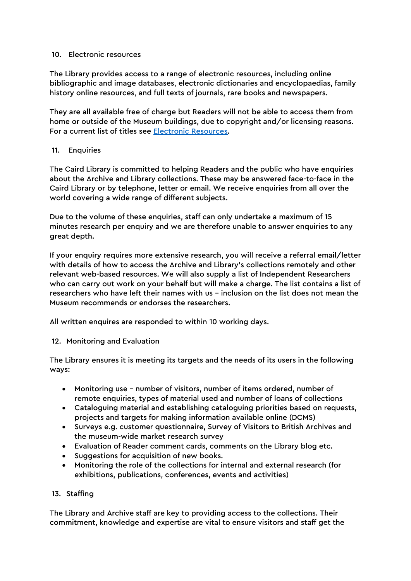#### 10. Electronic resources

The Library provides access to a range of electronic resources, including online bibliographic and image databases, electronic dictionaries and encyclopaedias, family history online resources, and full texts of journals, rare books and newspapers.

They are all available free of charge but Readers will not be able to access them from home or outside of the Museum buildings, due to copyright and/or licensing reasons. For a current list of titles see **Electronic Resources**.

#### 11. Enquiries

The Caird Library is committed to helping Readers and the public who have enquiries about the Archive and Library collections. These may be answered face-to-face in the Caird Library or by telephone, letter or email. We receive enquiries from all over the world covering a wide range of different subjects.

Due to the volume of these enquiries, staff can only undertake a maximum of 15 minutes research per enquiry and we are therefore unable to answer enquiries to any great depth.

If your enquiry requires more extensive research, you will receive a referral email/letter with details of how to access the Archive and Library's collections remotely and other relevant web-based resources. We will also supply a list of Independent Researchers who can carry out work on your behalf but will make a charge. The list contains a list of researchers who have left their names with us – inclusion on the list does not mean the Museum recommends or endorses the researchers.

All written enquires are responded to within 10 working days.

12. Monitoring and Evaluation

The Library ensures it is meeting its targets and the needs of its users in the following ways:

- Monitoring use number of visitors, number of items ordered, number of remote enquiries, types of material used and number of loans of collections
- Cataloguing material and establishing cataloguing priorities based on requests, projects and targets for making information available online (DCMS)
- Surveys e.g. customer questionnaire, Survey of Visitors to British Archives and the museum-wide market research survey
- Evaluation of Reader comment cards, comments on the Library blog etc.
- Suggestions for acquisition of new books.
- Monitoring the role of the collections for internal and external research (for exhibitions, publications, conferences, events and activities)

#### 13. Staffing

The Library and Archive staff are key to providing access to the collections. Their commitment, knowledge and expertise are vital to ensure visitors and staff get the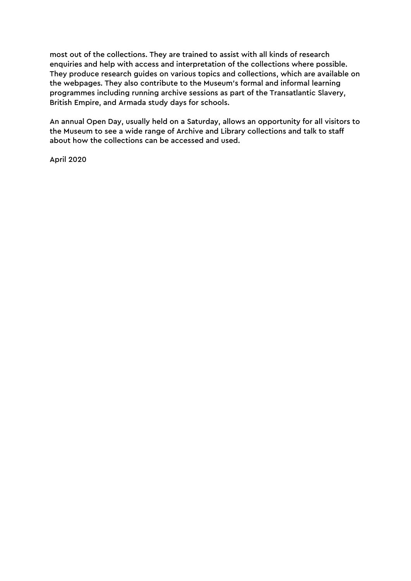most out of the collections. They are trained to assist with all kinds of research enquiries and help with access and interpretation of the collections where possible. They produce research guides on various topics and collections, which are available on the webpages. They also contribute to the Museum's formal and informal learning programmes including running archive sessions as part of the Transatlantic Slavery, British Empire, and Armada study days for schools.

An annual Open Day, usually held on a Saturday, allows an opportunity for all visitors to the Museum to see a wide range of Archive and Library collections and talk to staff about how the collections can be accessed and used.

April 2020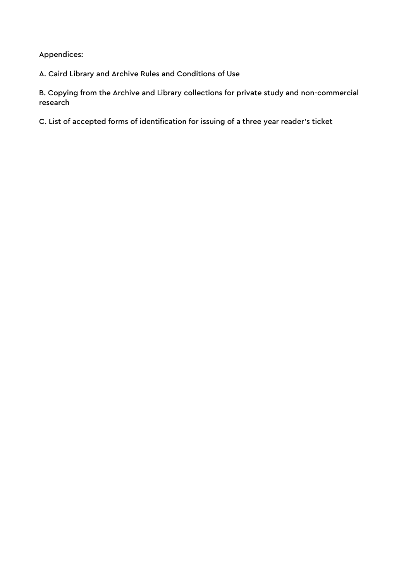Appendices:

A. Caird Library and Archive Rules and Conditions of Use

B. Copying from the Archive and Library collections for private study and non-commercial research

C. List of accepted forms of identification for issuing of a three year reader's ticket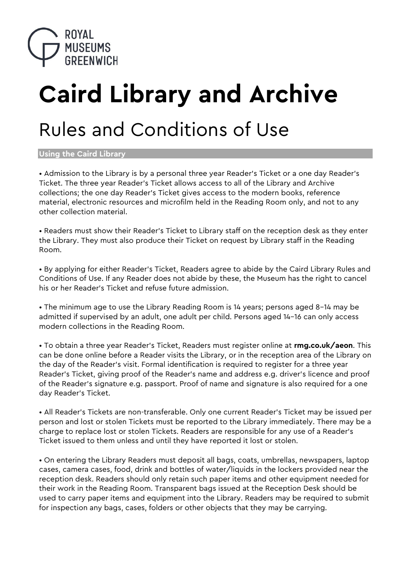

# **Caird Library and Archive**

## Rules and Conditions of Use

**Using the Caird Library** 

• Admission to the Library is by a personal three year Reader's Ticket or a one day Reader's Ticket. The three year Reader's Ticket allows access to all of the Library and Archive collections; the one day Reader's Ticket gives access to the modern books, reference material, electronic resources and microfilm held in the Reading Room only, and not to any other collection material.

• Readers must show their Reader's Ticket to Library staff on the reception desk as they enter the Library. They must also produce their Ticket on request by Library staff in the Reading Room.

• By applying for either Reader's Ticket, Readers agree to abide by the Caird Library Rules and Conditions of Use. If any Reader does not abide by these, the Museum has the right to cancel his or her Reader's Ticket and refuse future admission.

• The minimum age to use the Library Reading Room is 14 years; persons aged 8–14 may be admitted if supervised by an adult, one adult per child. Persons aged 14–16 can only access modern collections in the Reading Room.

• To obtain a three year Reader's Ticket, Readers must register online at **rmg.co.uk/aeon**. This can be done online before a Reader visits the Library, or in the reception area of the Library on the day of the Reader's visit. Formal identification is required to register for a three year Reader's Ticket, giving proof of the Reader's name and address e.g. driver's licence and proof of the Reader's signature e.g. passport. Proof of name and signature is also required for a one day Reader's Ticket.

• All Reader's Tickets are non-transferable. Only one current Reader's Ticket may be issued per person and lost or stolen Tickets must be reported to the Library immediately. There may be a charge to replace lost or stolen Tickets. Readers are responsible for any use of a Reader's Ticket issued to them unless and until they have reported it lost or stolen.

• On entering the Library Readers must deposit all bags, coats, umbrellas, newspapers, laptop cases, camera cases, food, drink and bottles of water/liquids in the lockers provided near the reception desk. Readers should only retain such paper items and other equipment needed for their work in the Reading Room. Transparent bags issued at the Reception Desk should be used to carry paper items and equipment into the Library. Readers may be required to submit for inspection any bags, cases, folders or other objects that they may be carrying.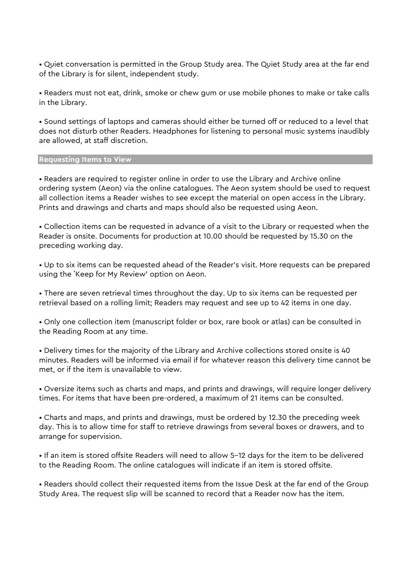• Quiet conversation is permitted in the Group Study area. The Quiet Study area at the far end of the Library is for silent, independent study.

• Readers must not eat, drink, smoke or chew gum or use mobile phones to make or take calls in the Library.

• Sound settings of laptops and cameras should either be turned off or reduced to a level that does not disturb other Readers. Headphones for listening to personal music systems inaudibly are allowed, at staff discretion.

#### **Requesting Items to View**

• Readers are required to register online in order to use the Library and Archive online ordering system (Aeon) via the online catalogues. The Aeon system should be used to request all collection items a Reader wishes to see except the material on open access in the Library. Prints and drawings and charts and maps should also be requested using Aeon.

• Collection items can be requested in advance of a visit to the Library or requested when the Reader is onsite. Documents for production at 10.00 should be requested by 15.30 on the preceding working day.

• Up to six items can be requested ahead of the Reader's visit. More requests can be prepared using the `Keep for My Review' option on Aeon.

• There are seven retrieval times throughout the day. Up to six items can be requested per retrieval based on a rolling limit; Readers may request and see up to 42 items in one day.

• Only one collection item (manuscript folder or box, rare book or atlas) can be consulted in the Reading Room at any time.

• Delivery times for the majority of the Library and Archive collections stored onsite is 40 minutes. Readers will be informed via email if for whatever reason this delivery time cannot be met, or if the item is unavailable to view.

• Oversize items such as charts and maps, and prints and drawings, will require longer delivery times. For items that have been pre-ordered, a maximum of 21 items can be consulted.

• Charts and maps, and prints and drawings, must be ordered by 12.30 the preceding week day. This is to allow time for staff to retrieve drawings from several boxes or drawers, and to arrange for supervision.

• If an item is stored offsite Readers will need to allow 5–12 days for the item to be delivered to the Reading Room. The online catalogues will indicate if an item is stored offsite.

• Readers should collect their requested items from the Issue Desk at the far end of the Group Study Area. The request slip will be scanned to record that a Reader now has the item.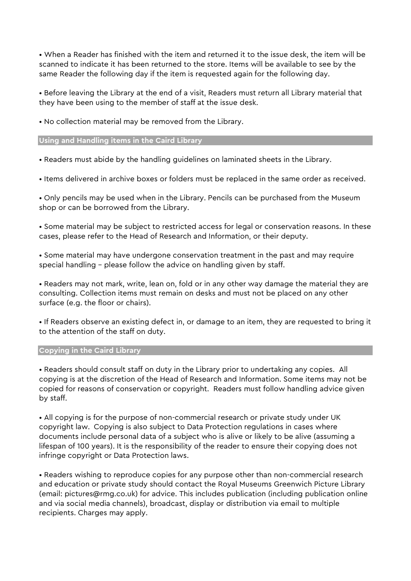• When a Reader has finished with the item and returned it to the issue desk, the item will be scanned to indicate it has been returned to the store. Items will be available to see by the same Reader the following day if the item is requested again for the following day.

• Before leaving the Library at the end of a visit, Readers must return all Library material that they have been using to the member of staff at the issue desk.

• No collection material may be removed from the Library.

#### **Using and Handling items in the Caird Library**

• Readers must abide by the handling guidelines on laminated sheets in the Library.

• Items delivered in archive boxes or folders must be replaced in the same order as received.

• Only pencils may be used when in the Library. Pencils can be purchased from the Museum shop or can be borrowed from the Library.

• Some material may be subject to restricted access for legal or conservation reasons. In these cases, please refer to the Head of Research and Information, or their deputy.

• Some material may have undergone conservation treatment in the past and may require special handling – please follow the advice on handling given by staff.

• Readers may not mark, write, lean on, fold or in any other way damage the material they are consulting. Collection items must remain on desks and must not be placed on any other surface (e.g. the floor or chairs).

• If Readers observe an existing defect in, or damage to an item, they are requested to bring it to the attention of the staff on duty.

#### **Copying in the Caird Library**

• Readers should consult staff on duty in the Library prior to undertaking any copies. All copying is at the discretion of the Head of Research and Information. Some items may not be copied for reasons of conservation or copyright. Readers must follow handling advice given by staff.

• All copying is for the purpose of non-commercial research or private study under UK copyright law. Copying is also subject to Data Protection regulations in cases where documents include personal data of a subject who is alive or likely to be alive (assuming a lifespan of 100 years). It is the responsibility of the reader to ensure their copying does not infringe copyright or Data Protection laws.

• Readers wishing to reproduce copies for any purpose other than non-commercial research and education or private study should contact the Royal Museums Greenwich Picture Library (email: pictures@rmg.co.uk) for advice. This includes publication (including publication online and via social media channels), broadcast, display or distribution via email to multiple recipients. Charges may apply.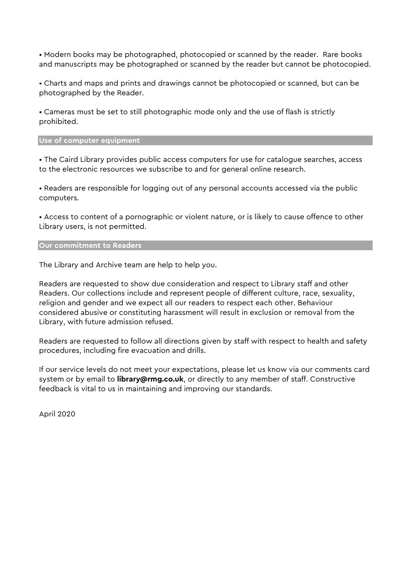• Modern books may be photographed, photocopied or scanned by the reader. Rare books and manuscripts may be photographed or scanned by the reader but cannot be photocopied.

• Charts and maps and prints and drawings cannot be photocopied or scanned, but can be photographed by the Reader.

• Cameras must be set to still photographic mode only and the use of flash is strictly prohibited.

**Use of computer equipment** 

• The Caird Library provides public access computers for use for catalogue searches, access to the electronic resources we subscribe to and for general online research.

• Readers are responsible for logging out of any personal accounts accessed via the public computers.

• Access to content of a pornographic or violent nature, or is likely to cause offence to other Library users, is not permitted.

**Our commitment to Readers** 

The Library and Archive team are help to help you.

Readers are requested to show due consideration and respect to Library staff and other Readers. Our collections include and represent people of different culture, race, sexuality, religion and gender and we expect all our readers to respect each other. Behaviour considered abusive or constituting harassment will result in exclusion or removal from the Library, with future admission refused.

Readers are requested to follow all directions given by staff with respect to health and safety procedures, including fire evacuation and drills.

If our service levels do not meet your expectations, please let us know via our comments card system or by email to **library@rmg.co.uk**, or directly to any member of staff. Constructive feedback is vital to us in maintaining and improving our standards.

April 2020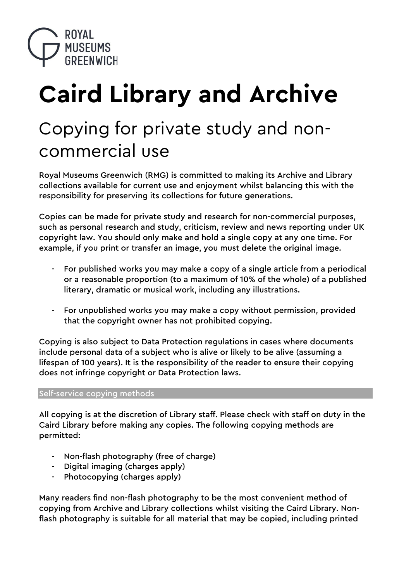

# **Caird Library and Archive**

## Copying for private study and noncommercial use

Royal Museums Greenwich (RMG) is committed to making its Archive and Library collections available for current use and enjoyment whilst balancing this with the responsibility for preserving its collections for future generations.

Copies can be made for private study and research for non-commercial purposes, such as personal research and study, criticism, review and news reporting under UK copyright law. You should only make and hold a single copy at any one time. For example, if you print or transfer an image, you must delete the original image.

- For published works you may make a copy of a single article from a periodical or a reasonable proportion (to a maximum of 10% of the whole) of a published literary, dramatic or musical work, including any illustrations.
- For unpublished works you may make a copy without permission, provided that the copyright owner has not prohibited copying.

Copying is also subject to Data Protection regulations in cases where documents include personal data of a subject who is alive or likely to be alive (assuming a lifespan of 100 years). It is the responsibility of the reader to ensure their copying does not infringe copyright or Data Protection laws.

#### Self-service copying methods

All copying is at the discretion of Library staff. Please check with staff on duty in the Caird Library before making any copies. The following copying methods are permitted:

- Non-flash photography (free of charge)
- Digital imaging (charges apply)
- Photocopying (charges apply)

Many readers find non-flash photography to be the most convenient method of copying from Archive and Library collections whilst visiting the Caird Library. Nonflash photography is suitable for all material that may be copied, including printed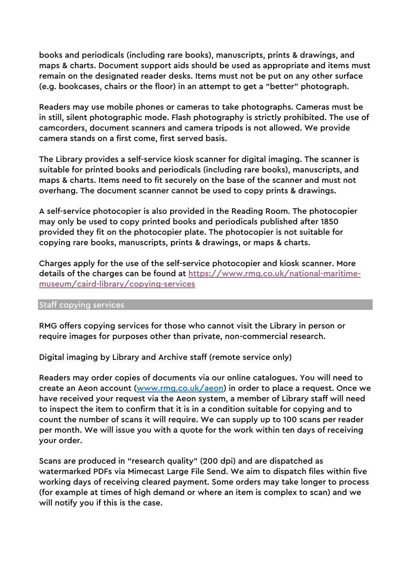books and periodicals (including rare books), manuscripts, prints & drawings, and maps & charts. Document support aids should be used as appropriate and items must remain on the designated reader desks. Items must not be put on any other surface (e.g. bookcases, chairs or the floor) in an attempt to get a "better" photograph.

Readers may use mobile phones or cameras to take photographs. Cameras must be in still, silent photographic mode. Flash photography is strictly prohibited. The use of camcorders, document scanners and camera tripods is not allowed. We provide camera stands on a first come, first served basis.

The Library provides a self-service kiosk scanner for digital imaging. The scanner is suitable for printed books and periodicals (including rare books), manuscripts, and maps & charts. Items need to fit securely on the base of the scanner and must not overhang. The document scanner cannot be used to copy prints & drawings.

A self-service photocopier is also provided in the Reading Room. The photocopier may only be used to copy printed books and periodicals published after 1850 provided they fit on the photocopier plate. The photocopier is not suitable for copying rare books, manuscripts, prints & drawings, or maps & charts.

Charges apply for the use of the self-service photocopier and kiosk scanner. More details of the charges can be found at https://www.rmg.co.uk/national-maritimemuseum/caird-library/copying-services

#### Staff copying services

RMG offers copying services for those who cannot visit the Library in person or require images for purposes other than private, non-commercial research.

Digital imaging by Library and Archive staff (remote service only)

Readers may order copies of documents via our online catalogues. You will need to create an Aeon account (www.rmg.co.uk/aeon) in order to place a request. Once we have received your request via the Aeon system, a member of Library staff will need to inspect the item to confirm that it is in a condition suitable for copying and to count the number of scans it will require. We can supply up to 100 scans per reader per month. We will issue you with a quote for the work within ten days of receiving your order.

Scans are produced in "research quality" (200 dpi) and are dispatched as watermarked PDFs via Mimecast Large File Send. We aim to dispatch files within five working days of receiving cleared payment. Some orders may take longer to process (for example at times of high demand or where an item is complex to scan) and we will notify you if this is the case.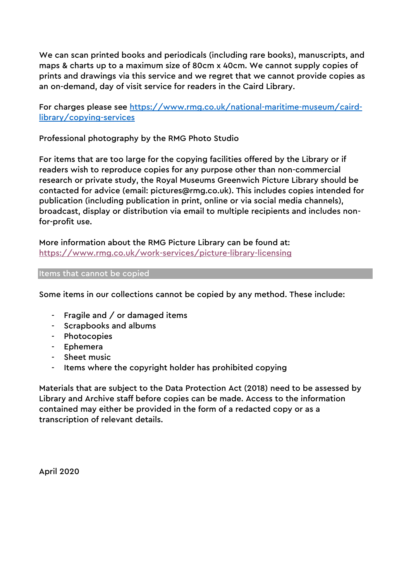We can scan printed books and periodicals (including rare books), manuscripts, and maps & charts up to a maximum size of 80cm x 40cm. We cannot supply copies of prints and drawings via this service and we regret that we cannot provide copies as an on-demand, day of visit service for readers in the Caird Library.

For charges please see https://www.rmg.co.uk/national-maritime-museum/cairdlibrary/copying-services

Professional photography by the RMG Photo Studio

For items that are too large for the copying facilities offered by the Library or if readers wish to reproduce copies for any purpose other than non-commercial research or private study, the Royal Museums Greenwich Picture Library should be contacted for advice (email: pictures@rmg.co.uk). This includes copies intended for publication (including publication in print, online or via social media channels), broadcast, display or distribution via email to multiple recipients and includes nonfor-profit use.

More information about the RMG Picture Library can be found at: https://www.rmg.co.uk/work-services/picture-library-licensing

#### Items that cannot be copied

Some items in our collections cannot be copied by any method. These include:

- Fragile and / or damaged items
- Scrapbooks and albums
- Photocopies
- Ephemera
- Sheet music
- Items where the copyright holder has prohibited copying

Materials that are subject to the Data Protection Act (2018) need to be assessed by Library and Archive staff before copies can be made. Access to the information contained may either be provided in the form of a redacted copy or as a transcription of relevant details.

April 2020